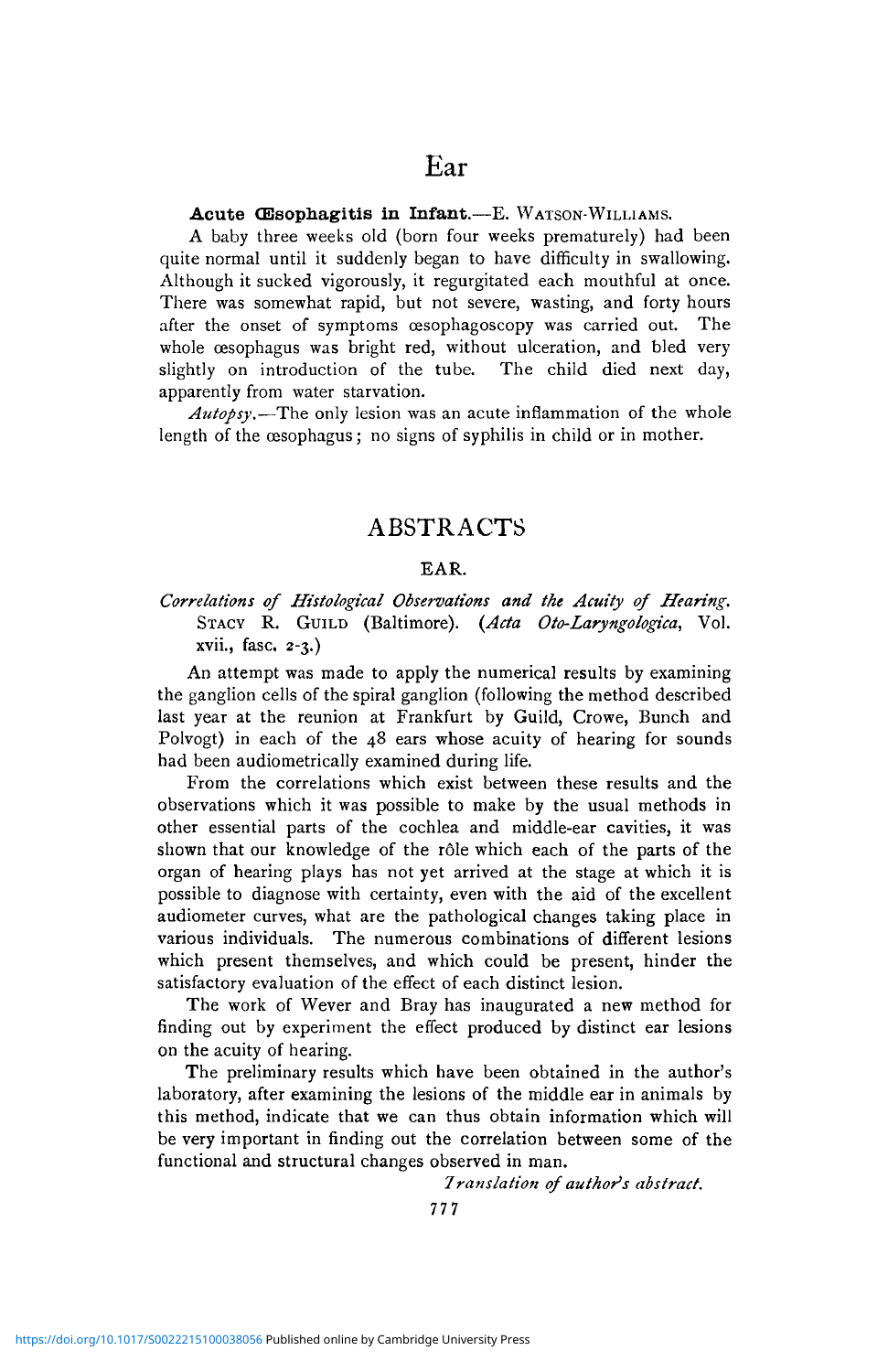#### Acute CEsophagitis in Infant.—E. WATSON-WILLIAMS.

A baby three weeks old (born four weeks prematurely) had been quite normal until it suddenly began to have difficulty in swallowing. Although it sucked vigorously, it regurgitated each mouthful at once. There was somewhat rapid, but not severe, wasting, and forty hours after the onset of symptoms cesophagoscopy was carried out. The whole œsophagus was bright red, without ulceration, and bled very slightly on introduction of the tube. The child died next day, apparently from water starvation.

*Autopsy.*—The only lesion was an acute inflammation of the whole length of the oesophagus; no signs of syphilis in child or in mother.

## ABSTRACTS

#### EAR.

## *Correlations of Histological Observations and the Acuity of Hearing.* STACY R. GUILD (Baltimore). *{Ada Oto-Laryngologica,* Vol. xvii., fasc. 2-3.)

An attempt was made to apply the numerical results by examining the ganglion cells of the spiral ganglion (following the method described last year at the reunion at Frankfurt by Guild, Crowe, Bunch and Polvogt) in each of the 48 ears whose acuity of hearing for sounds had been audiometrically examined during life.

From the correlations which exist between these results and the observations which it was possible to make by the usual methods in other essential parts of the cochlea and middle-ear cavities, it was shown that our knowledge of the rôle which each of the parts of the organ of hearing plays has not yet arrived at the stage at which it is possible to diagnose with certainty, even with the aid of the excellent audiometer curves, what are the pathological changes taking place in various individuals. The numerous combinations of different lesions which present themselves, and which could be present, hinder the satisfactory evaluation of the effect of each distinct lesion.

The work of Wever and Bray has inaugurated a new method for finding out by experiment the effect produced by distinct ear lesions on the acuity of hearing.

The preliminary results which have been obtained in the author's laboratory, after examining the lesions of the middle ear in animals by this method, indicate that we can thus obtain information which will be very important in finding out the correlation between some of the functional and structural changes observed in man.

*Translation of author's abstract.*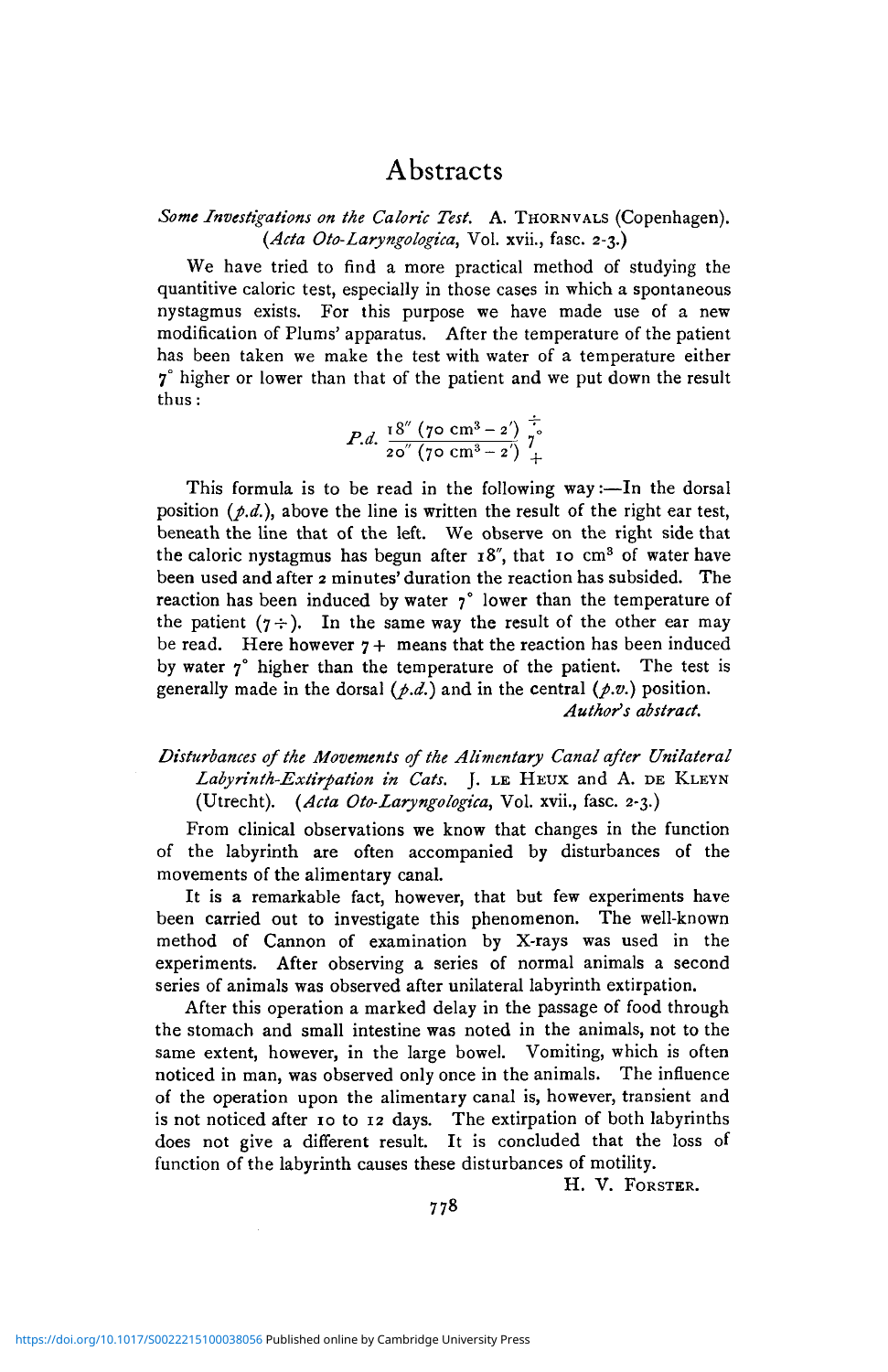Some Investigations on the Caloric Test. A. THORNVALS (Copenhagen). *(Ada Oto-Laryngologica,* Vol. xvii., fasc. 2-3.)

We have tried to find a more practical method of studying the quantitive caloric test, especially in those cases in which a spontaneous nystagmus exists. For this purpose we have made use of a new modification of Plums' apparatus. After the temperature of the patient has been taken we make the test with water of a temperature either  $7^\circ$  higher or lower than that of the patient and we put down the result thus:

*P.d.* 
$$
\frac{18'' (70 \text{ cm}^3 - 2)}{20'' (70 \text{ cm}^3 - 2')} \frac{1}{7}.
$$

This formula is to be read in the following way:—In the dorsal position *{p.d.),* above the line is written the result of the right ear test, beneath the line that of the left. We observe on the right side that the caloric nystagmus has begun after 18", that 10 cm<sup>3</sup> of water have been used and after 2 minutes' duration the reaction has subsided. The reaction has been induced by water  $\gamma^{\circ}$  lower than the temperature of the patient  $(7 \div)$ . In the same way the result of the other ear may be read. Here however  $7 +$  means that the reaction has been induced by water  $7^\circ$  higher than the temperature of the patient. The test is generally made in the dorsal  $(\rho.d.)$  and in the central  $(\rho.v.)$  position. *Author's abstract.*

## *Disturbances of the Movements of the Alimentary Canal after Unilateral Labyrinth-Extirpation in Cats.* J. LE HEUX and A. DE KLEYN (Utrecht). *(Ada Oto-Laryngologica,* Vol. xvii., fasc. 2-3.)

From clinical observations we know that changes in the function of the labyrinth are often accompanied by disturbances of the movements of the alimentary canal.

It is a remarkable fact, however, that but few experiments have been carried out to investigate this phenomenon. The well-known method of Cannon of examination by X-rays was used in the experiments. After observing a series of normal animals a second series of animals was observed after unilateral labyrinth extirpation.

After this operation a marked delay in the passage of food through the stomach and small intestine was noted in the animals, not to the same extent, however, in the large bowel. Vomiting, which is often noticed in man, was observed only once in the animals. The influence of the operation upon the alimentary canal is, however, transient and is not noticed after 10 to 12 days. The extirpation of both labyrinths does not give a different result. It is concluded that the loss of function of the labyrinth causes these disturbances of motility.

H. V. FORSTER.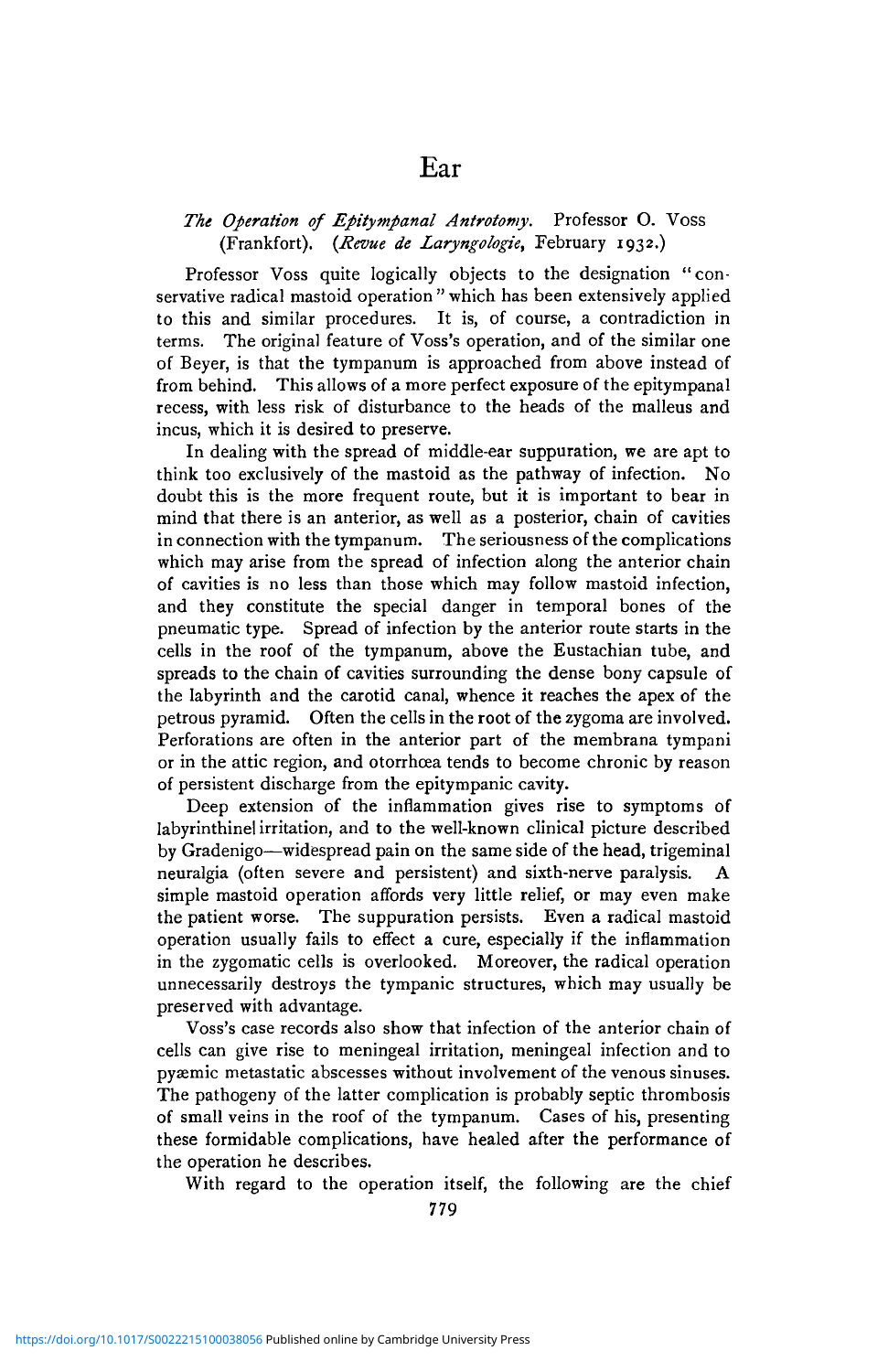### *The Operation of Epitympanal Antrotomy.* Professor 0. Voss (Frankfort). *(Revue de Laryngologie,* February 1932.)

Ear

Professor Voss quite logically objects to the designation "conservative radical mastoid operation " which has been extensively applied to this and similar procedures. It is, of course, a contradiction in terms. The original feature of Voss's operation, and of the similar one of Beyer, is that the tympanum is approached from above instead of from behind. This allows of a more perfect exposure of the epitympanal recess, with less risk of disturbance to the heads of the malleus and incus, which it is desired to preserve.

In dealing with the spread of middle-ear suppuration, we are apt to think too exclusively of the mastoid as the pathway of infection. No doubt this is the more frequent route, but it is important to bear in mind that there is an anterior, as well as a posterior, chain of cavities in connection with the tympanum. The seriousness of the complications which may arise from the spread of infection along the anterior chain of cavities is no less than those which may follow mastoid infection, and they constitute the special danger in temporal bones of the pneumatic type. Spread of infection by the anterior route starts in the cells in the roof of the tympanum, above the Eustachian tube, and spreads to the chain of cavities surrounding the dense bony capsule of the labyrinth and the carotid canal, whence it reaches the apex of the petrous pyramid. Often the cells in the root of the zygoma are involved. Perforations are often in the anterior part of the membrana tympani or in the attic region, and otorrhcea tends to become chronic by reason of persistent discharge from the epitympanic cavity.

Deep extension of the inflammation gives rise to symptoms of labyrinthinel irritation, and to the well-known clinical picture described by Gradenigo—widespread pain on the same side of the head, trigeminal neuralgia (often severe and persistent) and sixth-nerve paralysis. simple mastoid operation affords very little relief, or may even make the patient worse. The suppuration persists. Even a radical mastoid operation usually fails to effect a cure, especially if the inflammation in the zygomatic cells is overlooked. Moreover, the radical operation unnecessarily destroys the tympanic structures, which may usually be preserved with advantage.

Voss's case records also show that infection of the anterior chain of cells can give rise to meningeal irritation, meningeal infection and to pyaemic metastatic abscesses without involvement of the venous sinuses. The pathogeny of the latter complication is probably septic thrombosis of small veins in the roof of the tympanum. Cases of his, presenting these formidable complications, have healed after the performance of the operation he describes.

With regard to the operation itself, the following are the chief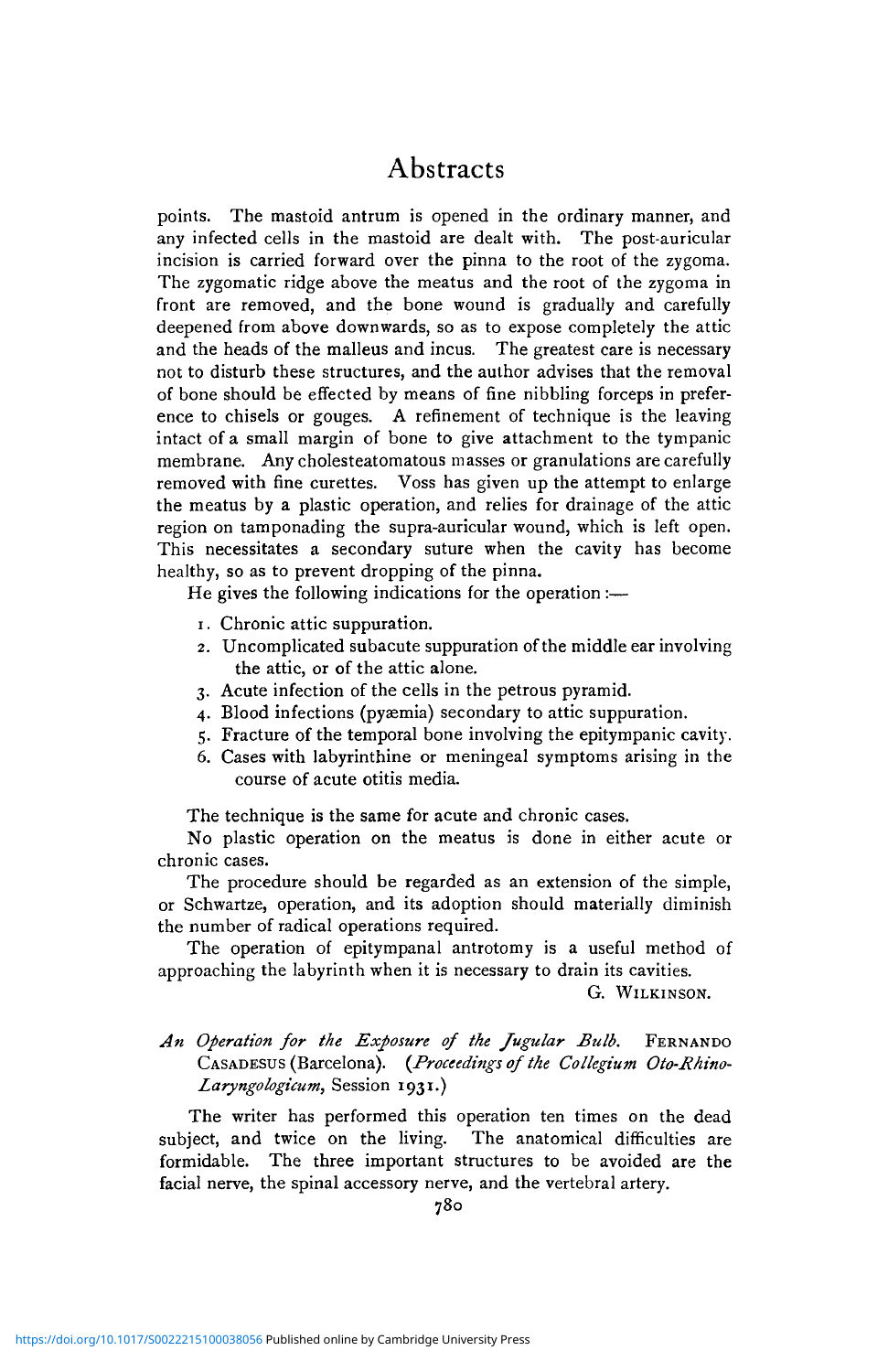points. The mastoid antrum is opened in the ordinary manner, and any infected cells in the mastoid are dealt with. The post-auricular incision is carried forward over the pinna to the root of the zygoma. The zygomatic ridge above the meatus and the root of the zygoma in front are removed, and the bone wound is gradually and carefully deepened from above downwards, so as to expose completely the attic and the heads of the malleus and incus. The greatest care is necessary not to disturb these structures, and the author advises that the removal of bone should be effected by means of fine nibbling forceps in preference to chisels or gouges. A refinement of technique is the leaving intact of a small margin of bone to give attachment to the tympanic membrane. Any cholesteatomatous masses or granulations are carefully removed with fine curettes. Voss has given up the attempt to enlarge the meatus by a plastic operation, and relies for drainage of the attic region on tamponading the supra-auricular wound, which is left open. This necessitates a secondary suture when the cavity has become healthy, so as to prevent dropping of the pinna.

He gives the following indications for the operation :—

- 1. Chronic attic suppuration.
- 2. Uncomplicated subacute suppuration of the middle ear involving the attic, or of the attic alone.
- 3. Acute infection of the cells in the petrous pyramid.
- 4. Blood infections (pyaemia) secondary to attic suppuration.
- 5. Fracture of the temporal bone involving the epitympanic cavity.
- 6. Cases with labyrinthine or meningeal symptoms arising in the course of acute otitis media.

The technique is the same for acute and chronic cases.

No plastic operation on the meatus is done in either acute or chronic cases.

The procedure should be regarded as an extension of the simple, or Schwartze, operation, and its adoption should materially diminish the number of radical operations required.

The operation of epitympanal antrotomy is a useful method of approaching the labyrinth when it is necessary to drain its cavities.

G. WILKINSON.

## *An Operation for the Exposure of the Jugular Bulb.* FERNANDO CASADESUS (Barcelona). *(Proceedings of the Collegium Oto-Rhino-Laryngologicum,* Session 1931.)

The writer has performed this operation ten times on the dead subject, and twice on the living. The anatomical difficulties are formidable. The three important structures to be avoided are the facial nerve, the spinal accessory nerve, and the vertebral artery.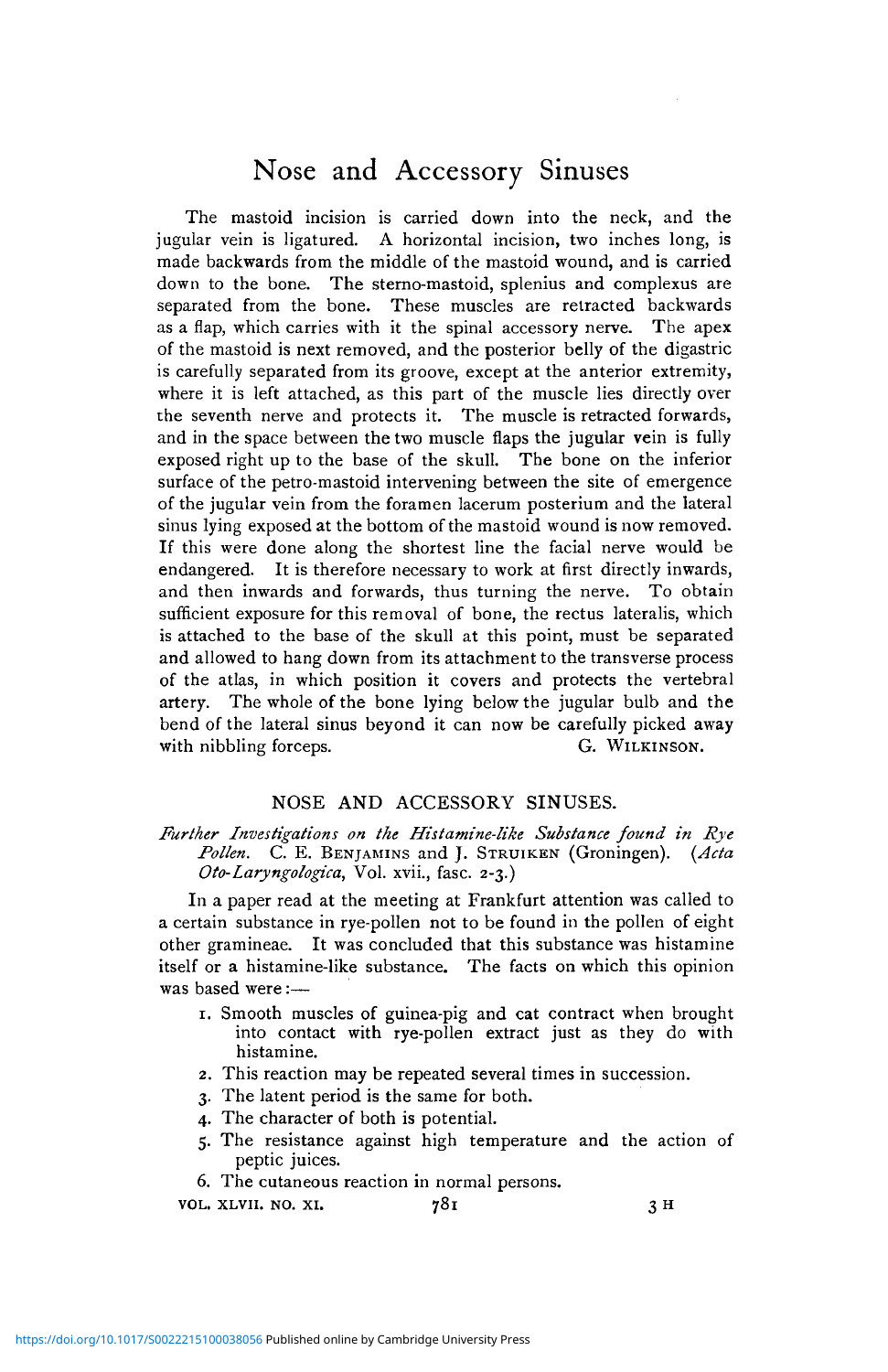# Nose and Accessory Sinuses

The mastoid incision is carried down into the neck, and the jugular vein is ligatured. A horizontal incision, two inches long, is made backwards from the middle of the mastoid wound, and is carried down to the bone. The sterno-mastoid, splenius and complexus are separated from the bone. These muscles are retracted backwards as a flap, which carries with it the spinal accessory nerve. The apex of the mastoid is next removed, and the posterior belly of the digastric is carefully separated from its groove, except at the anterior extremity, where it is left attached, as this part of the muscle lies directly over the seventh nerve and protects it. The muscle is retracted forwards, and in the space between the two muscle flaps the jugular vein is fully exposed right up to the base of the skull. The bone on the inferior surface of the petro-mastoid intervening between the site of emergence of the jugular vein from the foramen lacerum posterium and the lateral sinus lying exposed at the bottom of the mastoid wound is now removed. If this were done along the shortest line the facial nerve would be endangered. It is therefore necessary to work at first directly inwards, and then inwards and forwards, thus turning the nerve. To obtain sufficient exposure for this removal of bone, the rectus lateralis, which is attached to the base of the skull at this point, must be separated and allowed to hang down from its attachment to the transverse process of the atlas, in which position it covers and protects the vertebral artery. The whole of the bone lying below the jugular bulb and the bend of the lateral sinus beyond it can now be carefully picked away with nibbling forceps. G. WILKINSON.

## NOSE AND ACCESSORY SINUSES.

#### *Further Investigations on the Histamine-like Substance found in Rye Pollen.* C. E. BENJAMINS and J. STRUIKEN (Groningen). *(Ada Oto-Laryngologica,* Vol. xvii., fasc. 2-3.)

In a paper read at the meeting at Frankfurt attention was called to a certain substance in rye-pollen not to be found in the pollen of eight other gramineae. It was concluded that this substance was histamine itself or a histamine-like substance. The facts on which this opinion was based were :—

- 1. Smooth muscles of guinea-pig and cat contract when brought into contact with rye-pollen extract just as they do with histamine.
- 2. This reaction may be repeated several times in succession.
- 3. The latent period is the same for both.
- 4. The character of both is potential.
- 5. The resistance against high temperature and the action of peptic juices.
- 6. The cutaneous reaction in normal persons.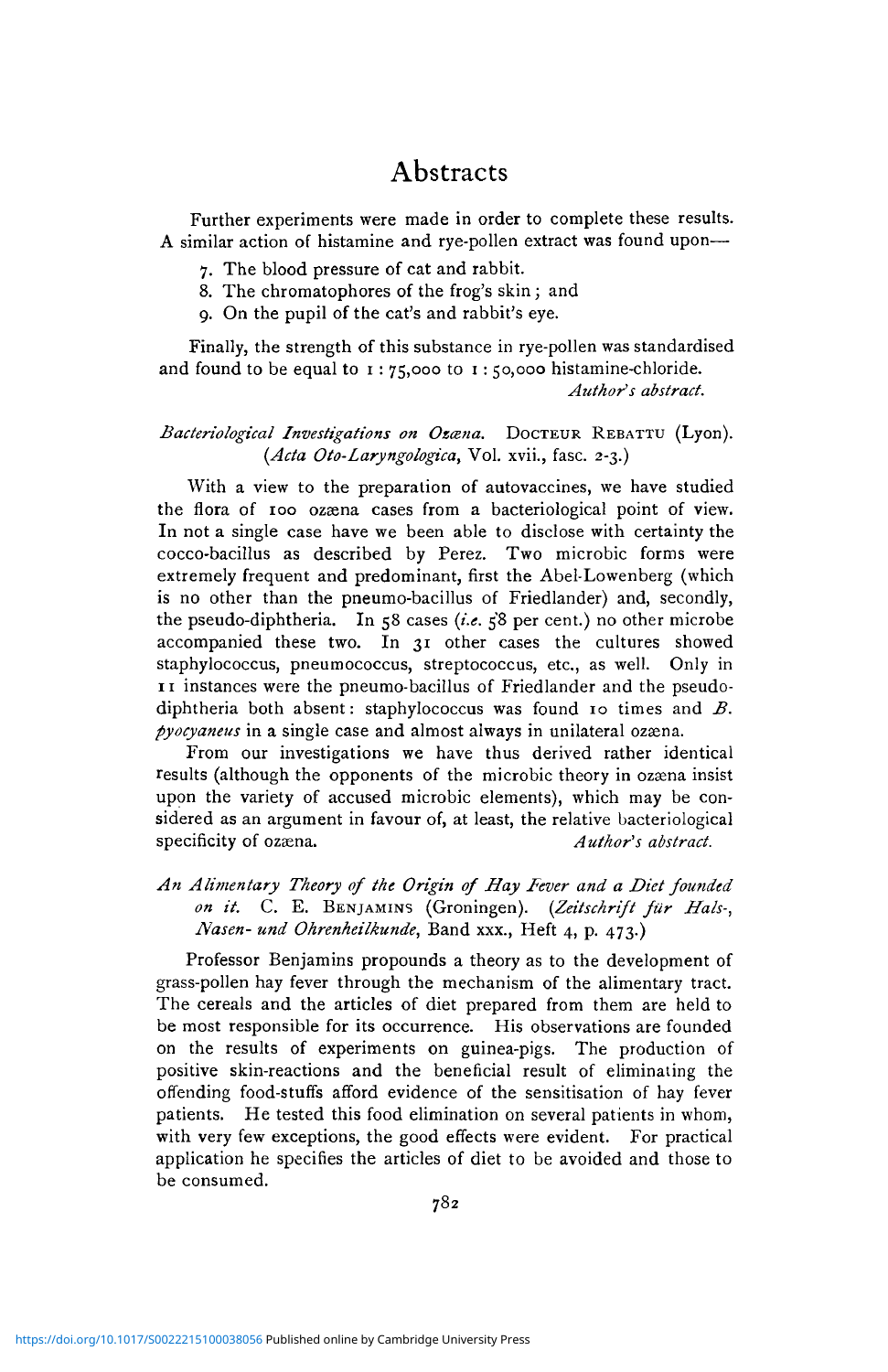Further experiments were made in order to complete these results. A similar action of histamine and rye-pollen extract was found upon—

- 7. The blood pressure of cat and rabbit.
- 8. The chromatophores of the frog's skin ; and
- 9. On the pupil of the cat's and rabbit's eye.

Finally, the strength of this substance in rye-pollen was standardised and found to be equal to  $1:75,000$  to  $1:50,000$  histamine-chloride. *Author's abstract.*

#### *Bacteriological Investigations on Ozcena.* DOCTEUR REBATTU (Lyon). *(Ada Oto-Laryngologica,* Vol. xvii., fasc. 2-3.)

With a view to the preparation of autovaccines, we have studied the flora of 100 ozaena cases from a bacteriological point of view. In not a single case have we been able to disclose with certainty the cocco-bacillus as described by Perez. Two microbic forms were extremely frequent and predominant, first the Abel-Lowenberg (which is no other than the pneumo-bacillus of Friedlander) and, secondly, the pseudo-diphtheria. In 58 cases *(i.e.* 58 per cent.) no other microbe accompanied these two. In 31 other cases the cultures showed staphylococcus, pneumococcus, streptococcus, etc., as well. Only in 11 instances were the pneumo-bacillus of Friedlander and the pseudodiphtheria both absent: staphylococcus was found 10 times and *B. pyocyaneus* in a single case and almost always in unilateral ozæna.

From our investigations we have thus derived rather identical results (although the opponents of the microbic theory in ozaena insist upon the variety of accused microbic elements), which may be considered as an argument in favour of, at least, the relative bacteriological specificity of ozaena. Author's abstract.

*An Alimentary Theory of the Origin of Hay Fever and a Diet founded on it.* C. E. BENJAMINS (Groningen). *(Zeitschrift fur Hals-, Nasen- und Ohrenheilkunde,* Band xxx., Heft 4, p. 473.)

Professor Benjamins propounds a theory as to the development of grass-pollen hay fever through the mechanism of the alimentary tract. The cereals and the articles of diet prepared from them are held to be most responsible for its occurrence. His observations are founded on the results of experiments on guinea-pigs. The production of positive skin-reactions and the beneficial result of eliminating the offending food-stuffs afford evidence of the sensitisation of hay fever patients. He tested this food elimination on several patients in whom, with very few exceptions, the good effects were evident. For practical application he specifies the articles of diet to be avoided and those to be consumed.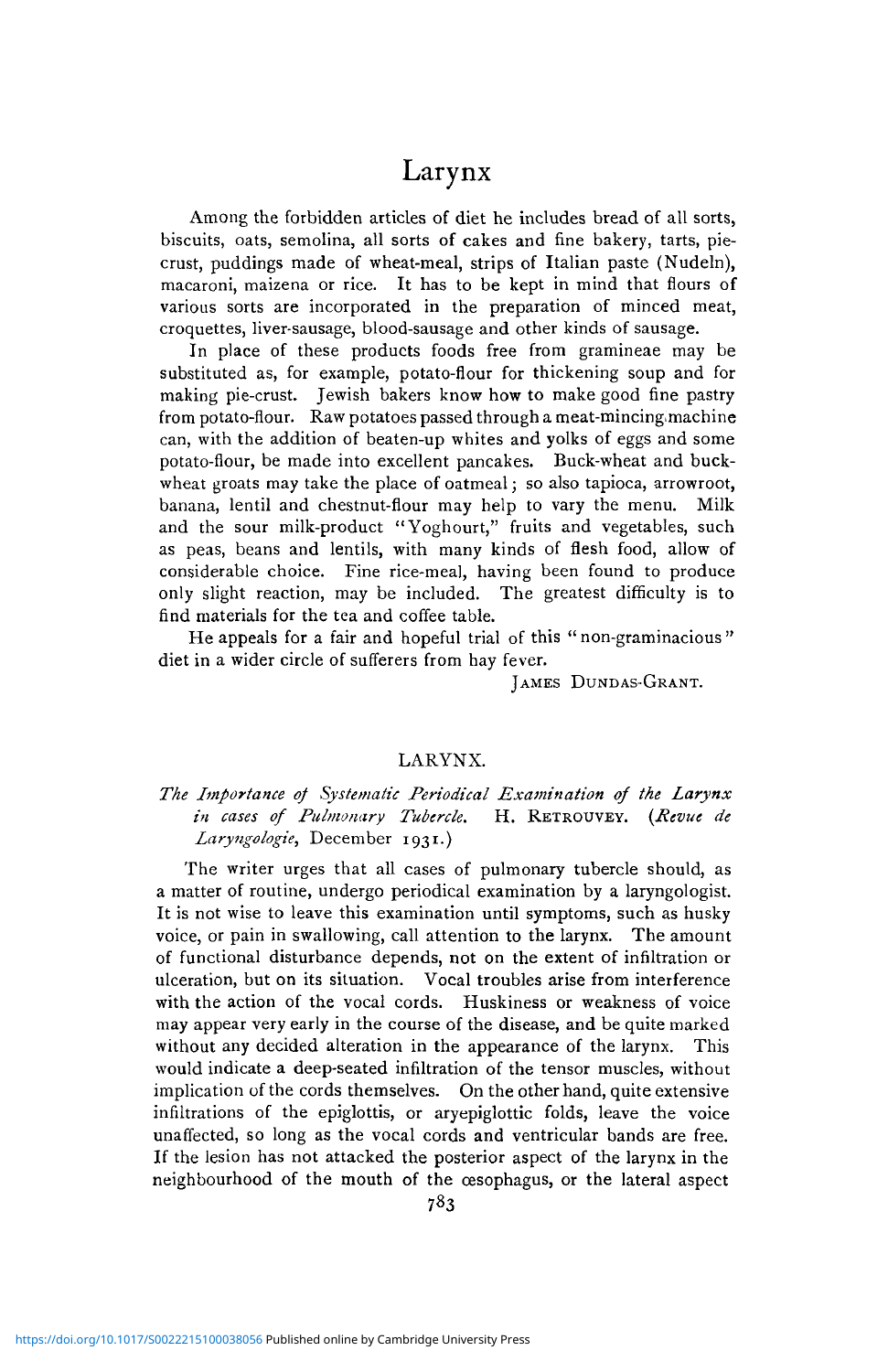# Larynx

Among the forbidden articles of diet he includes bread of all sorts, biscuits, oats, semolina, all sorts of cakes and fine bakery, tarts, piecrust, puddings made of wheat-meal, strips of Italian paste (Nudeln), macaroni, maizena or rice. It has to be kept in mind that flours of various sorts are incorporated in the preparation of minced meat, croquettes, liver-sausage, blood-sausage and other kinds of sausage.

In place of these products foods free from gramineae may be substituted as, for example, potato-flour for thickening soup and for making pie-crust. Jewish bakers know how to make good fine pastry from potato-flour. Raw potatoes passed through a meat-mincing machine can, with the addition of beaten-up whites and yolks of eggs and some potato-flour, be made into excellent pancakes. Buck-wheat and buckwheat groats may take the place of oatmeal; so also tapioca, arrowroot, banana, lentil and chestnut-flour may help to vary the menu. Milk and the sour milk-product "Yoghourt," fruits and vegetables, such as peas, beans and lentils, with many kinds of flesh food, allow of considerable choice. Fine rice-meal, having been found to produce only slight reaction, may be included. The greatest difficulty is to find materials for the tea and coffee table.

He appeals for a fair and hopeful trial of this " non-graminacious " diet in a wider circle of sufferers from hay fever.

JAMES DUNDAS-GRANT.

#### LARYNX.

### *The Importance of Systematic Periodical Examination of the Larynx in cases of Pulmonary Tubercle.* H. RETROUVEY. *{Revue de Laryngologie,* December 1931.)

The writer urges that all cases of pulmonary tubercle should, as a matter of routine, undergo periodical examination by a laryngologist. It is not wise to leave this examination until symptoms, such as husky voice, or pain in swallowing, call attention to the larynx. The amount of functional disturbance depends, not on the extent of infiltration or ulceration, but on its situation. Vocal troubles arise from interference with the action of the vocal cords. Huskiness or weakness of voice may appear very early in the course of the disease, and be quite marked without any decided alteration in the appearance of the larynx. This would indicate a deep-seated infiltration of the tensor muscles, without implication of the cords themselves. On the other hand, quite extensive infiltrations of the epiglottis, or aryepiglottic folds, leave the voice unaffected, so long as the vocal cords and ventricular bands are free. If the lesion has not attacked the posterior aspect of the larynx in the neighbourhood of the mouth of the oesophagus, or the lateral aspect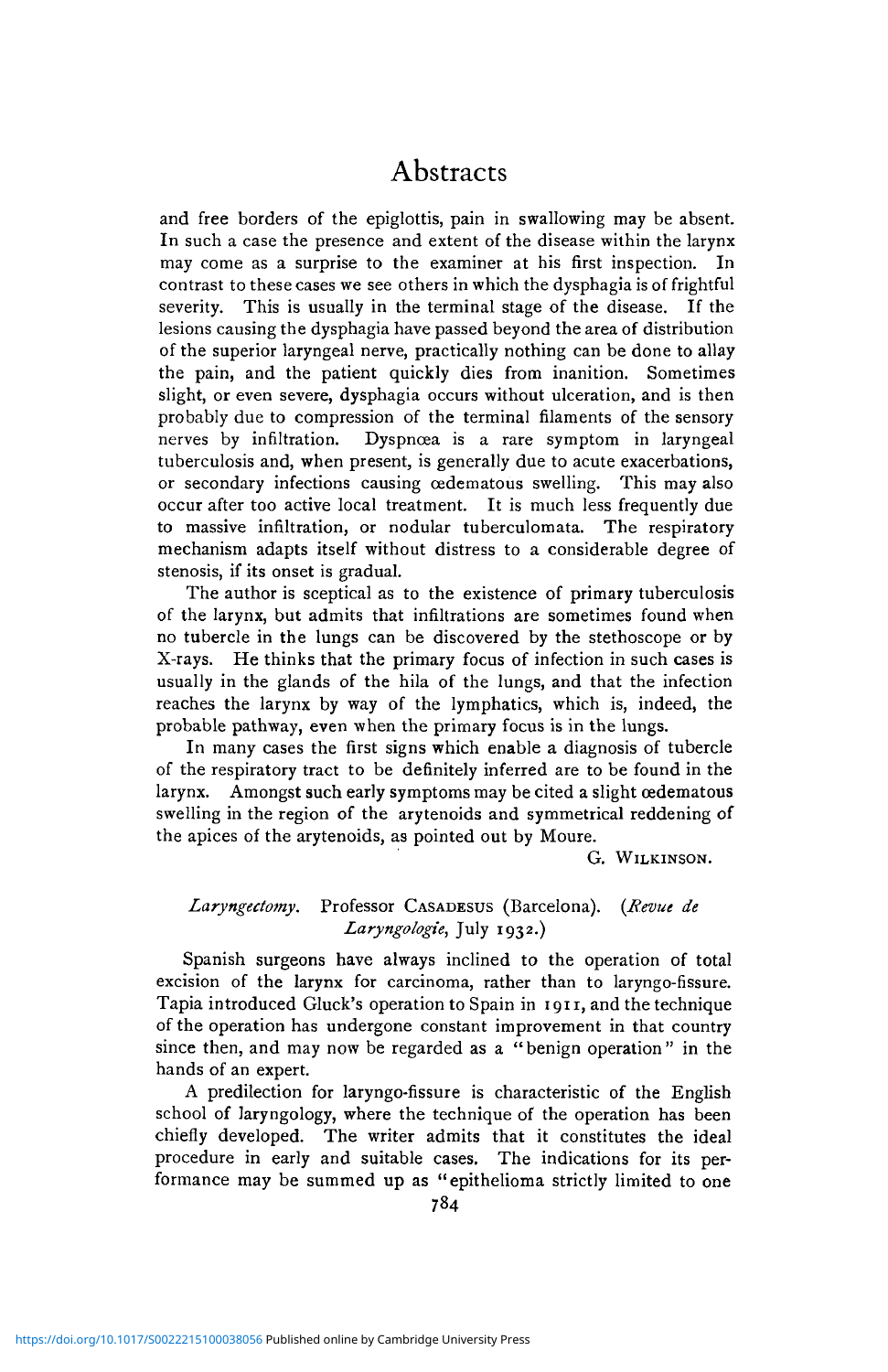and free borders of the epiglottis, pain in swallowing may be absent. In such a case the presence and extent of the disease within the larynx may come as a surprise to the examiner at his first inspection. In contrast to these cases we see others in which the dysphagia is of frightful severity. This is usually in the terminal stage of the disease. If the lesions causing the dysphagia have passed beyond the area of distribution of the superior laryngeal nerve, practically nothing can be done to allay the pain, and the patient quickly dies from inanition. Sometimes slight, or even severe, dysphagia occurs without ulceration, and is then probably due to compression of the terminal filaments of the sensory nerves by infiltration. Dyspnœa is a rare symptom in laryngeal tuberculosis and, when present, is generally due to acute exacerbations, or secondary infections causing cedematous swelling. This may also occur after too active local treatment. It is much less frequently due to massive infiltration, or nodular tuberculomata. The respiratory mechanism adapts itself without distress to a considerable degree of stenosis, if its onset is gradual.

The author is sceptical as to the existence of primary tuberculosis of the larynx, but admits that infiltrations are sometimes found when no tubercle in the lungs can be discovered by the stethoscope or by X-rays. He thinks that the primary focus of infection in such cases is usually in the glands of the hila of the lungs, and that the infection reaches the larynx by way of the lymphatics, which is, indeed, the probable pathway, even when the primary focus is in the lungs.

In many cases the first signs which enable a diagnosis of tubercle of the respiratory tract to be definitely inferred are to be found in the larynx. Amongst such early symptoms may be cited a slight cedematous swelling in the region of the arytenoids and symmetrical reddening of the apices of the arytenoids, as pointed out by Moure.

G. WILKINSON.

#### *Laryngectomy.* Professor CASADESUS (Barcelona). *{Revue de Laryngologie,* July 1932.)

Spanish surgeons have always inclined to the operation of total excision of the larynx for carcinoma, rather than to laryngo-fissure. Tapia introduced Gluck's operation to Spain in 1911, and the technique of the operation has undergone constant improvement in that country since then, and may now be regarded as a "benign operation" in the hands of an expert.

A predilection for laryngo-fissure is characteristic of the English school of laryngology, where the technique of the operation has been chiefly developed. The writer admits that it constitutes the ideal procedure in early and suitable cases. The indications for its performance may be summed up as "epithelioma strictly limited to one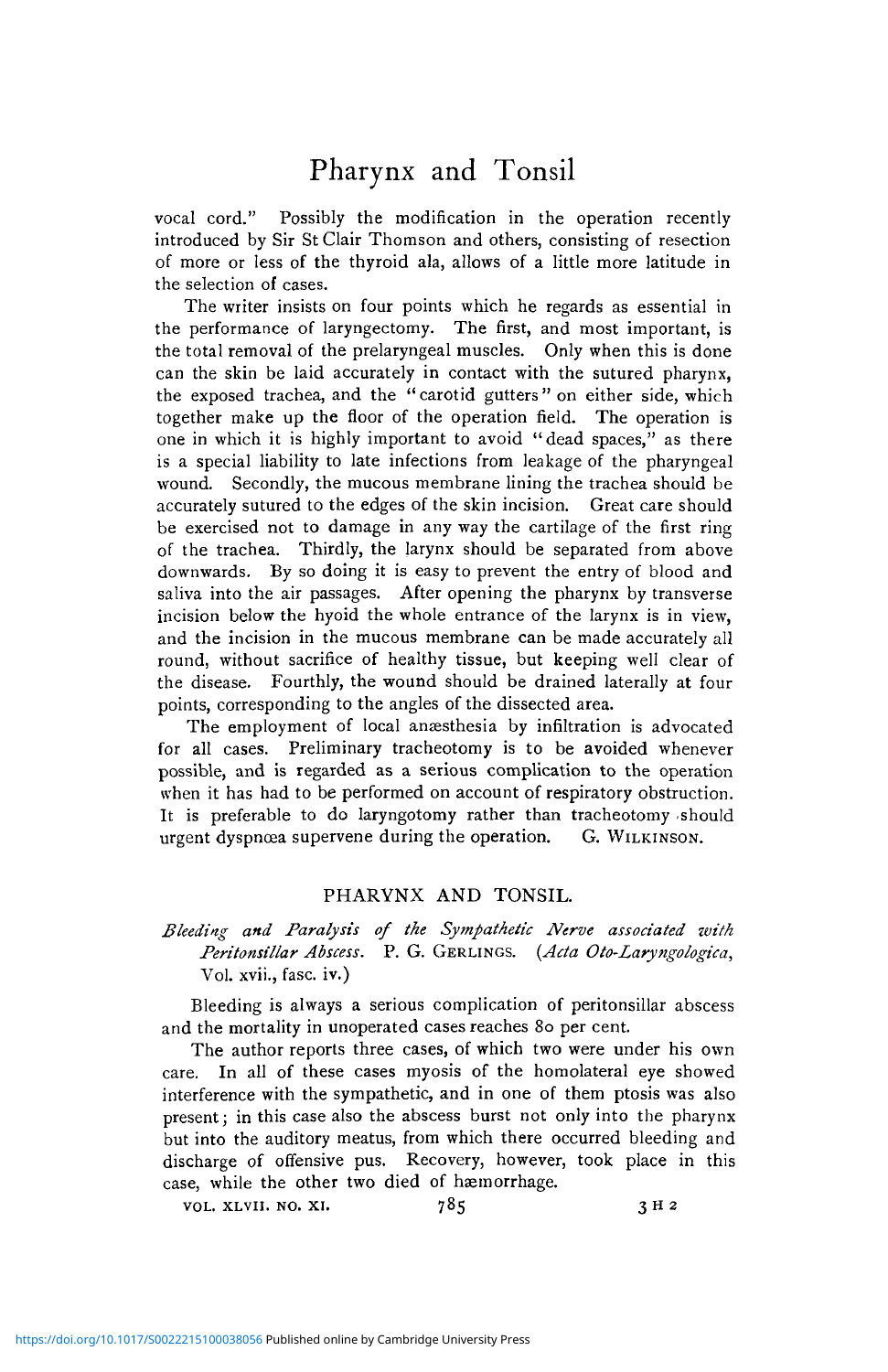# Pharynx and Tonsil

vocal cord." Possibly the modification in the operation recently introduced by Sir St Clair Thomson and others, consisting of resection of more or less of the thyroid ala, allows of a little more latitude in the selection of cases.

The writer insists on four points which he regards as essential in the performance of laryngectomy. The first, and most important, is the total removal of the prelaryngeal muscles. Only when this is done can the skin be laid accurately in contact with the sutured pharynx, the exposed trachea, and the "carotid gutters" on either side, which together make up the floor of the operation field. The operation is one in which it is highly important to avoid "dead spaces," as there is a special liability to late infections from leakage of the pharyngeal wound. Secondly, the mucous membrane lining the trachea should be accurately sutured to the edges of the skin incision. Great care should be exercised not to damage in any way the cartilage of the first ring of the trachea. Thirdly, the larynx should be separated from above downwards. By so doing it is easy to prevent the entry of blood and saliva into the air passages. After opening the pharynx by transverse incision below the hyoid the whole entrance of the larynx is in view, and the incision in the mucous membrane can be made accurately all round, without sacrifice of healthy tissue, but keeping well clear of the disease. Fourthly, the wound should be drained laterally at four points, corresponding to the angles of the dissected area.

The employment of local anæsthesia by infiltration is advocated for all cases. Preliminary tracheotomy is to be avoided whenever possible, and is regarded as a serious complication to the operation when it has had to be performed on account of respiratory obstruction. It is preferable to do laryngotomy rather than tracheotomy should urgent dyspncea supervene during the operation. G. WILKINSON.

#### PHARYNX AND TONSIL.

### *Bleeding and Paralysis of the Sympathetic Nerve associated with Peritonsillar Abscess.* P. G. GERLINGS. *(Acta Oto-Zaryngologica,* Vol. xvii., fasc. iv.)

Bleeding is always a serious complication of peritonsillar abscess and the mortality in unoperated cases reaches 80 per cent.

The author reports three cases, of which two were under his own care. In all of these cases myosis of the homolateral eye showed interference with the sympathetic, and in one of them ptosis was also present; in this case also the abscess burst not only into the pharynx but into the auditory meatus, from which there occurred bleeding and discharge of offensive pus. Recovery, however, took place in this case, while the other two died of haemorrhage.

| VOL. XLVII. NO. XI. | 785 | 3H <sub>2</sub> |
|---------------------|-----|-----------------|
|---------------------|-----|-----------------|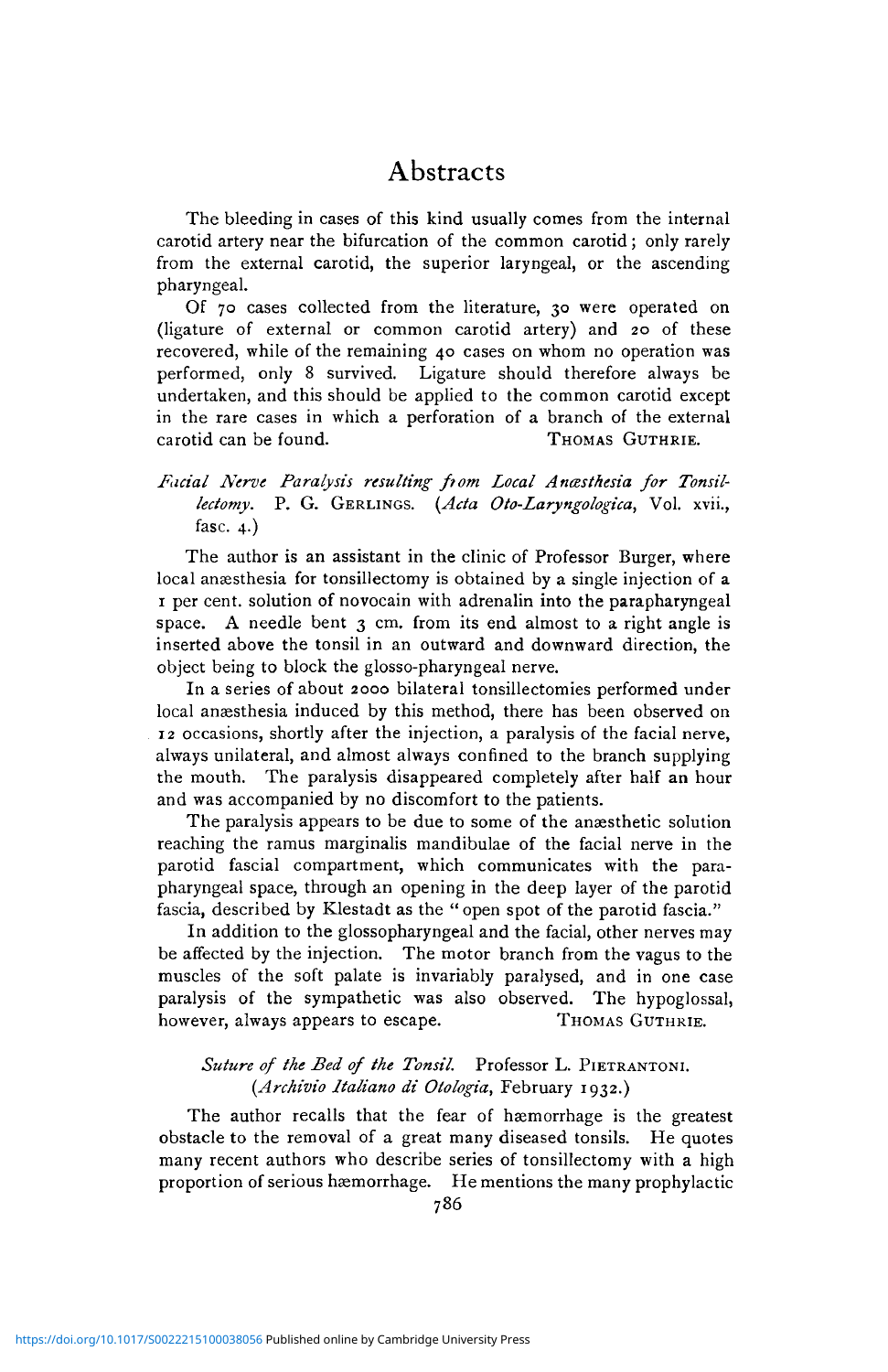The bleeding in cases of this kind usually comes from the internal carotid artery near the bifurcation of the common carotid; only rarely from the external carotid, the superior laryngeal, or the ascending pharyngeal.

Of 70 cases collected from the literature, 30 were operated on (ligature of external or common carotid artery) and 20 of these recovered, while of the remaining 40 cases on whom no operation was performed, only 8 survived. Ligature should therefore always be undertaken, and this should be applied to the common carotid except in the rare cases in which a perforation of a branch of the external carotid can be found. THOMAS GUTHRIE.

### Facial Nerve Paralysis resulting from Local Anasthesia for Tonsil*lectomy.* P. G. GERLINGS. *{Ada Oto-Laryngologica,* Vol. xvii., fasc. 4.)

The author is an assistant in the clinic of Professor Burger, where local anaesthesia for tonsillectomy is obtained by a single injection of a 1 per cent, solution of novocain with adrenalin into the parapharyngeal space. A needle bent 3 cm. from its end almost to a right angle is inserted above the tonsil in an outward and downward direction, the object being to block the glosso-pharyngeal nerve.

In a series of about 2000 bilateral tonsillectomies performed under local anaesthesia induced by this method, there has been observed on 12 occasions, shortly after the injection, a paralysis of the facial nerve, always unilateral, and almost always confined to the branch supplying the mouth. The paralysis disappeared completely after half an hour and was accompanied by no discomfort to the patients.

The paralysis appears to be due to some of the anæsthetic solution reaching the ramus marginalis mandibulae of the facial nerve in the parotid fascial compartment, which communicates with the parapharyngeal space, through an opening in the deep layer of the parotid fascia, described by Klestadt as the " open spot of the parotid fascia."

In addition to the glossopharyngeal and the facial, other nerves may be affected by the injection. The motor branch from the vagus to the muscles of the soft palate is invariably paralysed, and in one case paralysis of the sympathetic was also observed. The hypoglossal, however, always appears to escape. THOMAS GUTHRIE.

### *Suture of the Bed of the Tonsil.* Professor L. PIETRANTONI. *(Archivio Italiano di Otologia,* February 1932.)

The author recalls that the fear of haemorrhage is the greatest obstacle to the removal of a great many diseased tonsils. He quotes many recent authors who describe series of tonsillectomy with a high proportion of serious haemorrhage. He mentions the many prophylactic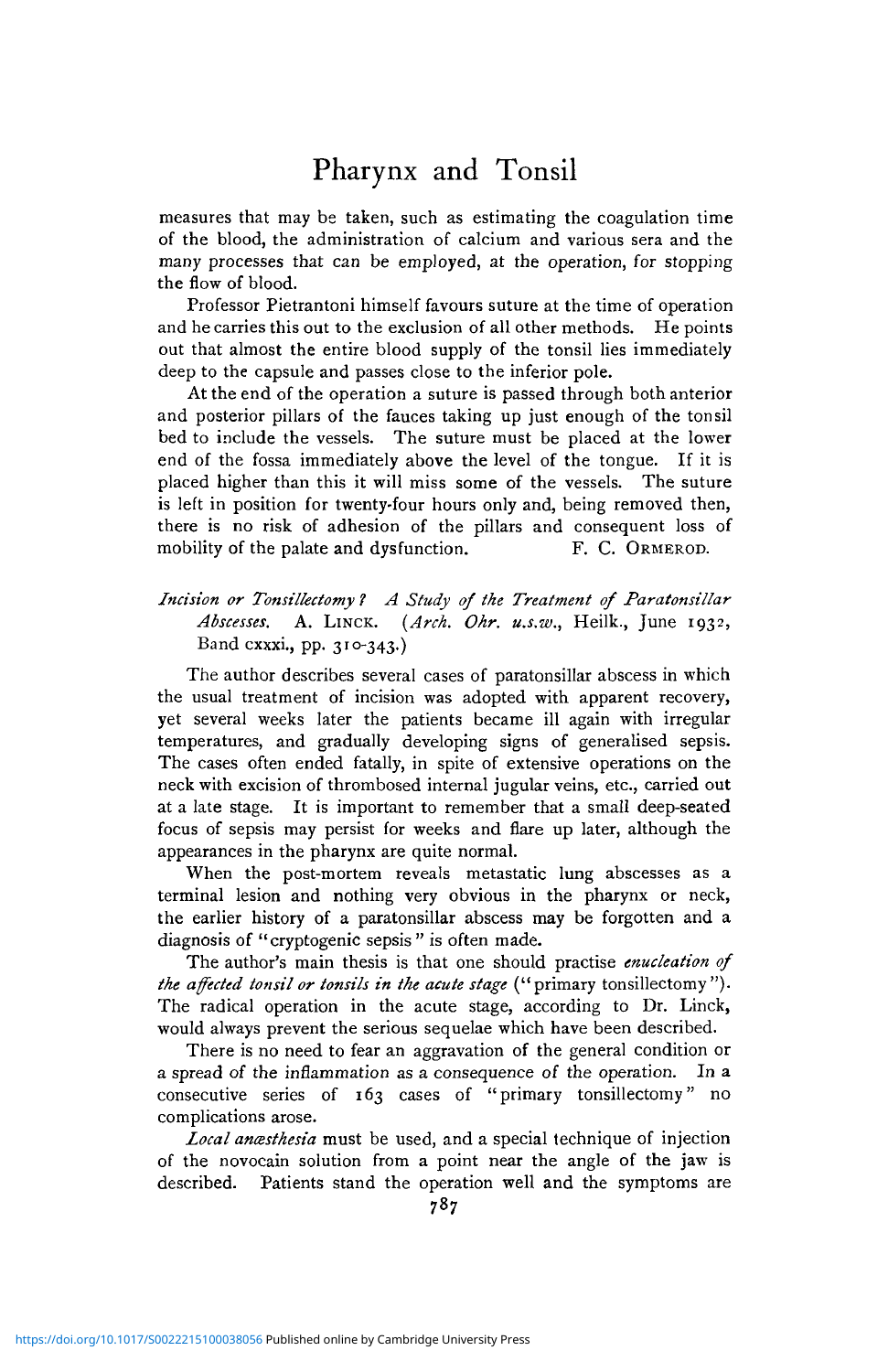# Pharynx and Tonsil

measures that may be taken, such as estimating the coagulation time of the blood, the administration of calcium and various sera and the many processes that can be employed, at the operation, for stopping the flow of blood.

Professor Pietrantoni himself favours suture at the time of operation and he carries this out to the exclusion of all other methods. He points out that almost the entire blood supply of the tonsil lies immediately deep to the capsule and passes close to the inferior pole.

At the end of the operation a suture is passed through both anterior and posterior pillars of the fauces taking up just enough of the tonsil bed to include the vessels. The suture must be placed at the lower end of the fossa immediately above the level of the tongue. If it is placed higher than this it will miss some of the vessels. The suture is left in position for twenty-four hours only and, being removed then, there is no risk of adhesion of the pillars and consequent loss of mobility of the palate and dysfunction. F. C. ORMEROD.

### *Incision or Tonsilkctomy 1 A Study of the Treatment of Paratonsillar Abscesses.* A. LINCK. *{Arch. Ohr. u.s.w.,* Heilk., June 1932, Band cxxxi., pp. 310-343.)

The author describes several cases of paratonsillar abscess in which the usual treatment of incision was adopted with apparent recovery, yet several weeks later the patients became ill again with irregular temperatures, and gradually developing signs of generalised sepsis. The cases often ended fatally, in spite of extensive operations on the neck with excision of thrombosed internal jugular veins, etc., carried out at a late stage. It is important to remember that a small deep-seated focus of sepsis may persist for weeks and flare up later, although the appearances in the pharynx are quite normal.

When the post-mortem reveals metastatic lung abscesses as a terminal lesion and nothing very obvious in the pharynx or neck, the earlier history of a paratonsillar abscess may be forgotten and a diagnosis of "cryptogenic sepsis" is often made.

The author's main thesis is that one should practise *enucleation of the affected tonsil or tonsils in the acute stage* ("primary tonsillectomy "). The radical operation in the acute stage, according to Dr. Linck, would always prevent the serious sequelae which have been described.

There is no need to fear an aggravation of the general condition or a spread of the inflammation as a consequence of the operation. In a consecutive series of 163 cases of "primary tonsillectomy" no complications arose.

*Local anesthesia* must be used, and a special technique of injection of the novocain solution from a point near the angle of the jaw is described. Patients stand the operation well and the symptoms are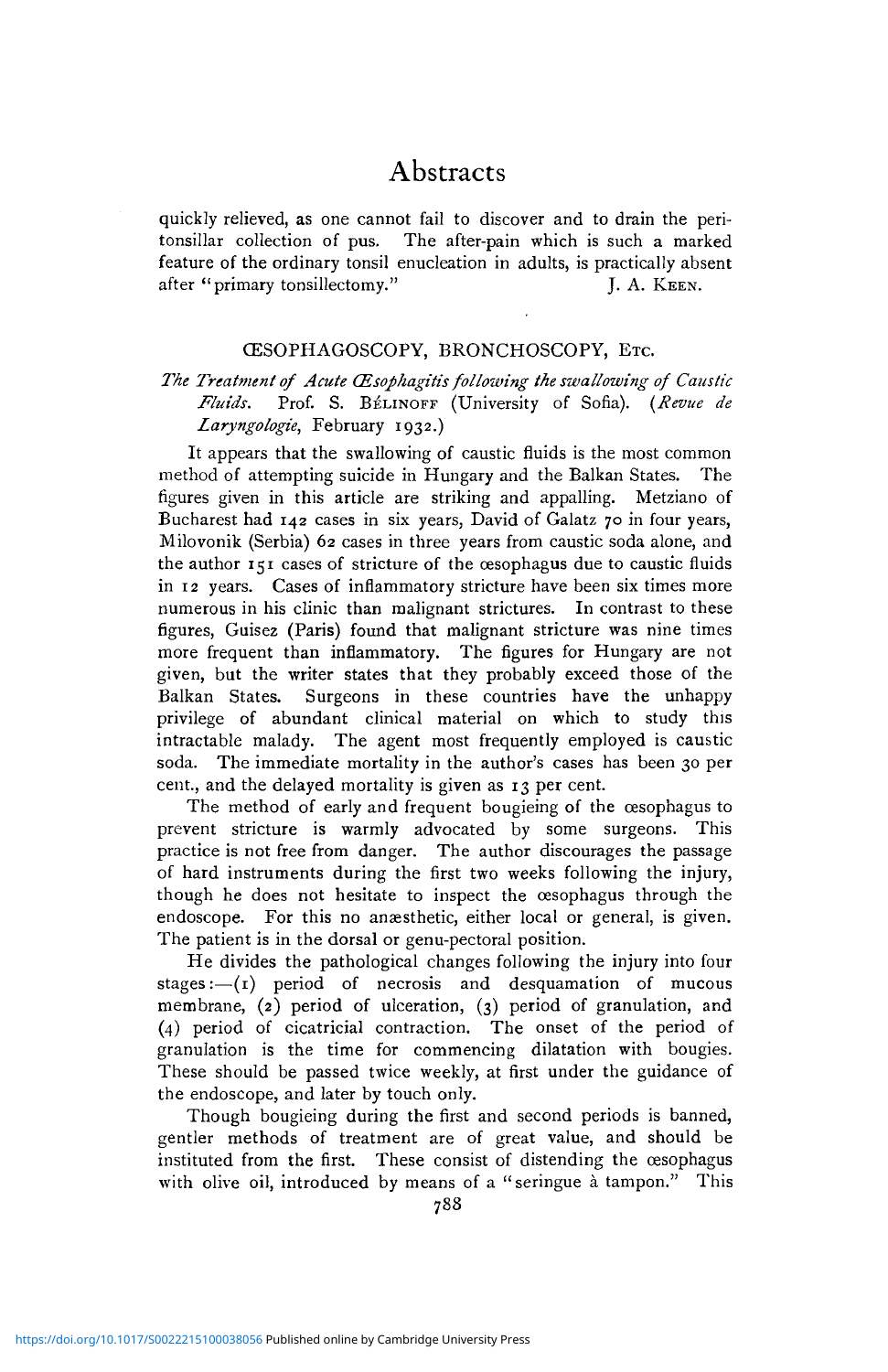quickly relieved, as one cannot fail to discover and to drain the peritonsillar collection of pus. The after-pain which is such a marked feature of the ordinary tonsil enucleation in adults, is practically absent after "primary tonsillectomy." J. A. KEEN.

#### CESOPHAGOSCOPY, BRONCHOSCOPY, ETC.

## *The Treatment of Acute (Esophagitis following the swallowing of Caustic Fluids.* Prof. S. B^LINOFF (University of Sofia). *(Revue de Laryngologie,* February 1932.)

It appears that the swallowing of caustic fluids is the most common method of attempting suicide in Hungary and the Balkan States. The figures given in this article are striking and appalling. Metziano of Bucharest had 142 cases in six years, David of Galatz 70 in four years, Milovonik (Serbia) 62 cases in three years from caustic soda alone, and the author 151 cases of stricture of the oesophagus due to caustic fluids in 12 years. Cases of inflammatory stricture have been six times more numerous in his clinic than malignant strictures. In contrast to these figures, Guisez (Paris) found that malignant stricture was nine times more frequent than inflammatory. The figures for Hungary are not given, but the writer states that they probably exceed those of the Balkan States. Surgeons in these countries have the unhappy privilege of abundant clinical material on which to study this intractable malady. The agent most frequently employed is caustic soda. The immediate mortality in the author's cases has been 30 per cent., and the delayed mortality is given as 13 per cent.

The method of early and frequent bougieing of the œsophagus to prevent stricture is warmly advocated by some surgeons. This practice is not free from danger. The author discourages the passage of hard instruments during the first two weeks following the injury, though he does not hesitate to inspect the oesophagus through the endoscope. For this no anæsthetic, either local or general, is given. The patient is in the dorsal or genu-pectoral position.

He divides the pathological changes following the injury into four stages: $-(1)$  period of necrosis and desquamation of mucous membrane, (2) period of ulceration, (3) period of granulation, and (4) period of cicatricial contraction. The onset of the period of granulation is the time for commencing dilatation with bougies. These should be passed twice weekly, at first under the guidance of the endoscope, and later by touch only.

Though bougieing during the first and second periods is banned, gentler methods of treatment are of great value, and should be instituted from the first. These consist of distending the oesophagus with olive oil, introduced by means of a "seringue à tampon." This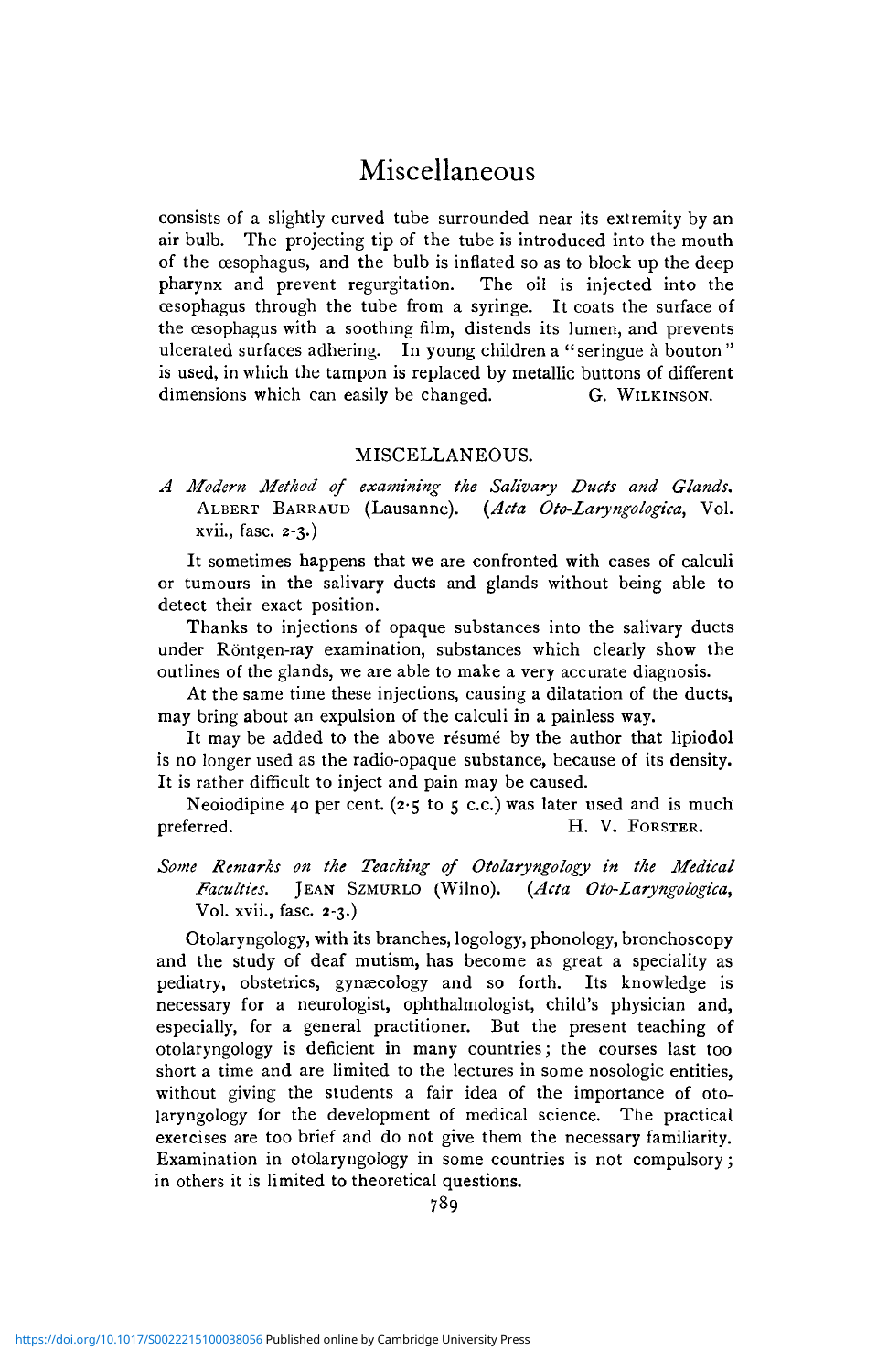# Miscellaneous

consists of a slightly curved tube surrounded near its extremity by an air bulb. The projecting tip of the tube is introduced into the mouth of the oesophagus, and the bulb is inflated so as to block up the deep pharynx and prevent regurgitation. The oil is injected into the oesophagus through the tube from a syringe. It coats the surface of the oesophagus with a soothing film, distends its lumen, and prevents ulcerated surfaces adhering. In young children a "seringue à bouton" is used, in which the tampon is replaced by metallic buttons of different dimensions which can easily be changed. G. WILKINSON.

#### MISCELLANEOUS.

*A Modern Method of examining the Salivary Ducts and Glands.* ALBERT BARRAUD (Lausanne). *{Ada Oto-Laryngologica,* Vol. xvii., fasc. 2-3.)

It sometimes happens that we are confronted with cases of calculi or tumours in the salivary ducts and glands without being able to detect their exact position.

Thanks to injections of opaque substances into the salivary ducts under Röntgen-ray examination, substances which clearly show the outlines of the glands, we are able to make a very accurate diagnosis.

At the same time these injections, causing a dilatation of the ducts, may bring about an expulsion of the calculi in a painless way.

It may be added to the above résumé by the author that lipiodol is no longer used as the radio-opaque substance, because of its density. It is rather difficult to inject and pain may be caused.

Neoiodipine 40 per cent. (2.5 to 5 c.c.) was later used and is much preferred. H. V. FORSTER.

*Some Remarks on the Teaching of Otolaryngology in the Medical Faculties.* JEAN SZMURLO (Wilno). *{Ada Oto-Laryngologica,* Vol. xvii., fasc. 2-3.)

Otolaryngology, with its branches, logology, phonology, bronchoscopy and the study of deaf mutism, has become as great a speciality as pediatry, obstetrics, gynaecology and so forth. Its knowledge is necessary for a neurologist, ophthalmologist, child's physician and, especially, for a general practitioner. But the present teaching of otolaryngology is deficient in many countries; the courses last too short a time and are limited to the lectures in some nosologic entities, without giving the students a fair idea of the importance of otolaryngology for the development of medical science. The practical exercises are too brief and do not give them the necessary familiarity. Examination in otolaryngology in some countries is not compulsory; in others it is limited to theoretical questions.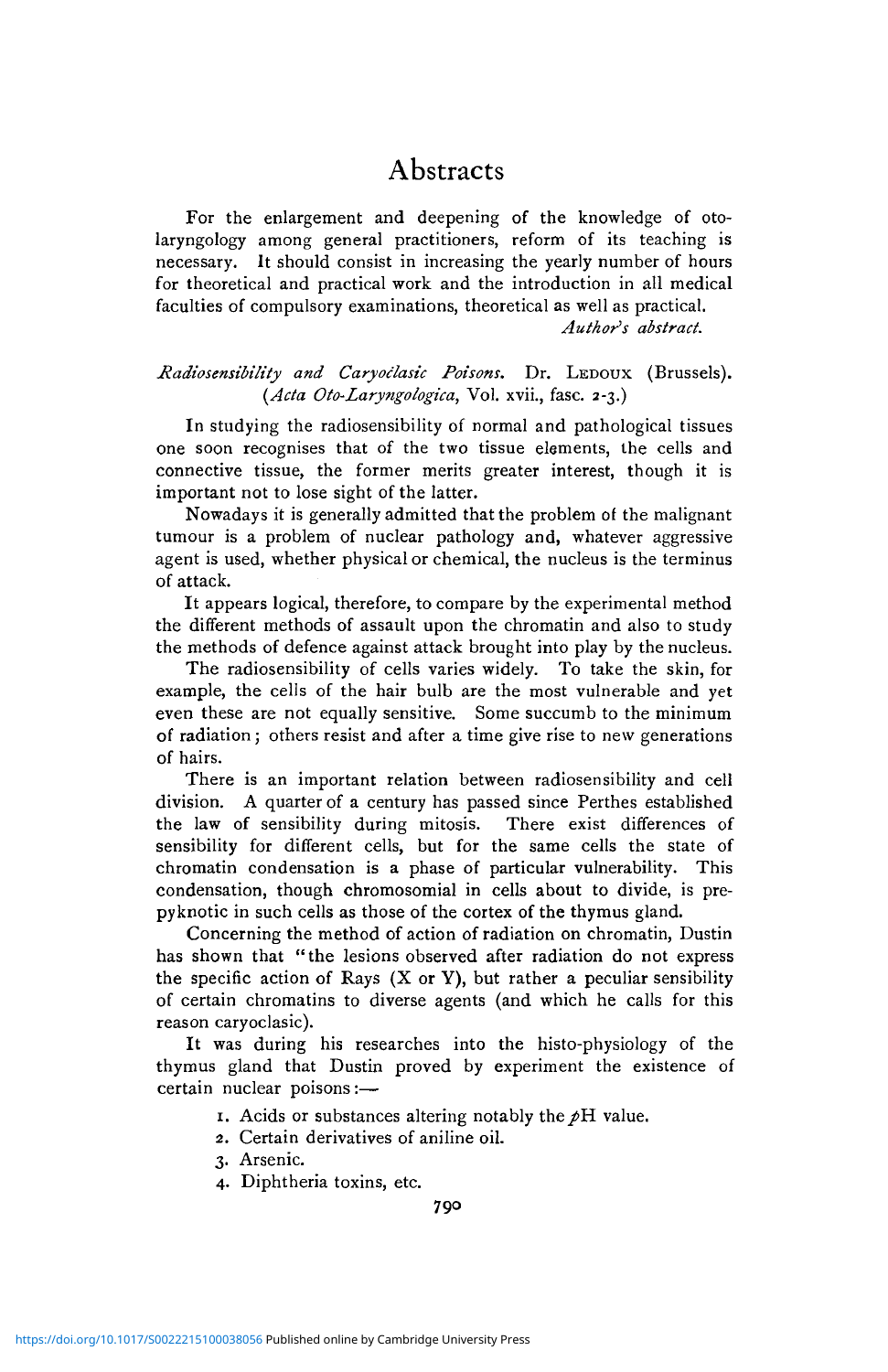For the enlargement and deepening of the knowledge of otolaryngology among general practitioners, reform of its teaching is necessary. It should consist in increasing the yearly number of hours for theoretical and practical work and the introduction in all medical faculties of compulsory examinations, theoretical as well as practical. *Authors abstract.*

#### *Radiosensibility and Caryoclasic Poisons.* Dr. LEDOUX (Brussels). *(Acta Oto-Laryngologica,* Vol. xvii., fasc. 2-3.)

In studying the radiosensibility of normal and pathological tissues one soon recognises that of the two tissue elements, the cells and connective tissue, the former merits greater interest, though it is important not to lose sight of the latter.

Nowadays it is generally admitted that the problem of the malignant tumour is a problem of nuclear pathology and, whatever aggressive agent is used, whether physical or chemical, the nucleus is the terminus of attack.

It appears logical, therefore, to compare by the experimental method the different methods of assault upon the chromatin and also to study the methods of defence against attack brought into play by the nucleus.

The radiosensibility of cells varies widely. To take the skin, for example, the cells of the hair bulb are the most vulnerable and yet even these are not equally sensitive. Some succumb to the minimum of radiation; others resist and after a time give rise to new generations of hairs.

There is an important relation between radiosensibility and cell division. A quarter of a century has passed since Perthes established the law of sensibility during mitosis. There exist differences of sensibility for different cells, but for the same cells the state of chromatin condensation is a phase of particular vulnerability. This condensation, though chromosomial in cells about to divide, is prepyknotic in such cells as those of the cortex of the thymus gland.

Concerning the method of action of radiation on chromatin, Dustin has shown that "the lesions observed after radiation do not express the specific action of Rays  $(X \text{ or } Y)$ , but rather a peculiar sensibility of certain chromatins to diverse agents (and which he calls for this reason caryoclasic).

It was during his researches into the histo-physiology of the thymus gland that Dustin proved by experiment the existence of certain nuclear poisons :—

1. Acids or substances altering notably the  $\beta$ H value.

2. Certain derivatives of aniline oil.

3. Arsenic.

4. Diphtheria toxins, etc.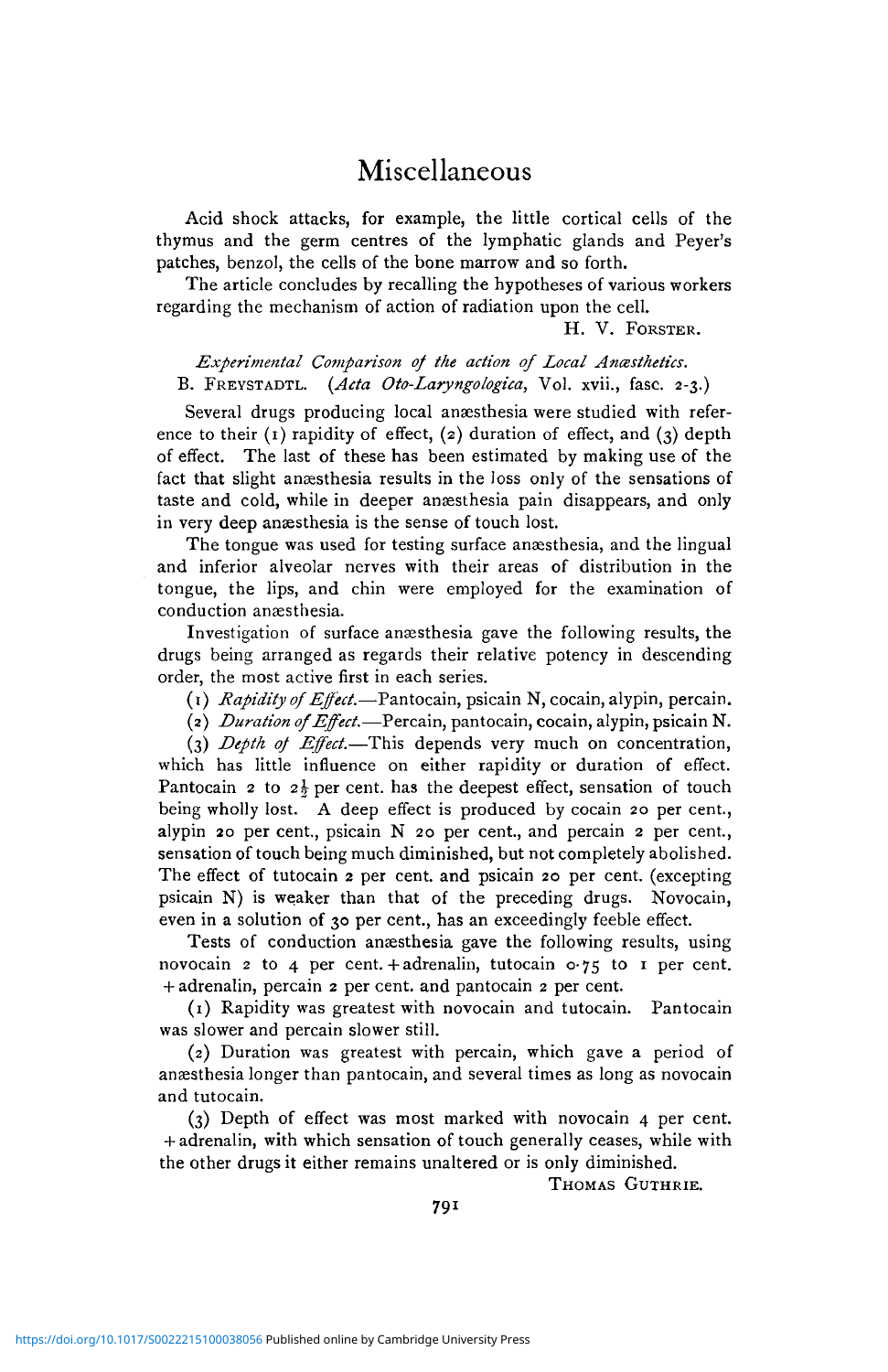# Miscellaneous

Acid shock attacks, for example, the little cortical cells of the thymus and the germ centres of the lymphatic glands and Peyer's patches, benzol, the cells of the bone marrow and so forth.

The article concludes by recalling the hypotheses of various workers regarding the mechanism of action of radiation upon the cell.

H. V. FORSTER.

*Experimental Comparison of the action of Local Ancesthetics.* B. FREYSTADTL. *{Ada Oto-Laryngologica,* Vol. xvii., fasc. 2-3.)

Several drugs producing local anaesthesia were studied with reference to their  $(1)$  rapidity of effect,  $(2)$  duration of effect, and  $(3)$  depth of effect. The last of these has been estimated by making use of the fact that slight anæsthesia results in the loss only of the sensations of taste and cold, while in deeper anaesthesia pain disappears, and only in very deep anæsthesia is the sense of touch lost.

The tongue was used for testing surface anæsthesia, and the lingual and inferior alveolar nerves with their areas of distribution in the tongue, the lips, and chin were employed for the examination of conduction anaesthesia.

Investigation of surface anaesthesia gave the following results, the drugs being arranged as regards their relative potency in descending order, the most active first in each series.

(1) *Rapidity of Effect.*—Pantocain, psicain N, cocain, alypin, percain.

(2) *Duration of Effect.*—Percain, pantocain, cocain, alypin, psicain N.

(3) *Depth of Effect.*—This depends very much on concentration, which has little influence on either rapidity or duration of effect. Pantocain 2 to  $2\frac{1}{2}$  per cent, has the deepest effect, sensation of touch being wholly lost. A deep effect is produced by cocain 20 per cent., alypin 20 per cent., psicain N 20 per cent., and percain 2 per cent., sensation of touch being much diminished, but not completely abolished. The effect of tutocain 2 per cent, and psicain 20 per cent, (excepting psicain N) is weaker than that of the preceding drugs. Novocain, even in a solution of 30 per cent., has an exceedingly feeble effect.

Tests of conduction anæsthesia gave the following results, using novocain 2 to 4 per cent. + adrenalin, tutocain  $\sigma$ -75 to 1 per cent. + adrenalin, percain 2 per cent, and pantocain 2 per cent.

(1) Rapidity was greatest with novocain and tutocain. Pantocain was slower and percain slower still.

(2) Duration was greatest with percain, which gave a period of anaesthesia longer than pantocain, and several times as long as novocain and tutocain.

(3) Depth of effect was most marked with novocain 4 per cent. + adrenalin, with which sensation of touch generally ceases, while with the other drugs it either remains unaltered or is only diminished.

THOMAS GUTHRIE.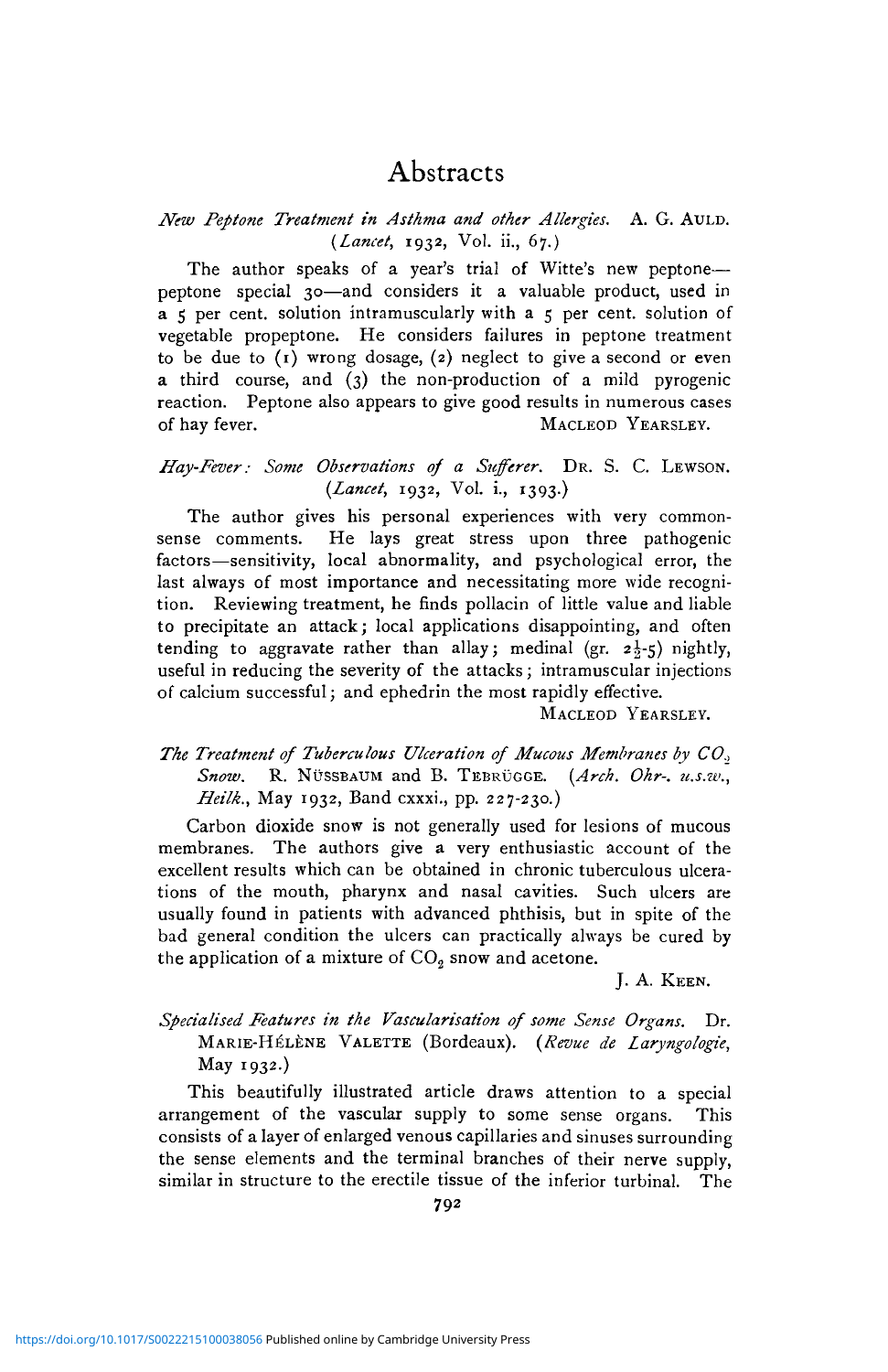#### *Ntw Peptone Treatment in Asthma and other Allergies.* A. G. AULD. *{Lancet,* 1932, Vol. ii., 67.)

The author speaks of a year's trial of Witte's new peptone peptone special 30—and considers it a valuable product, used in  $\overline{a}$  5 per cent, solution intramuscularly with  $\overline{a}$  5 per cent, solution of vegetable propeptone. He considers failures in peptone treatment to be due to  $(1)$  wrong dosage,  $(2)$  neglect to give a second or even a third course, and (3) the non-production of a mild pyrogenic reaction. Peptone also appears to give good results in numerous cases of hay fever. MACLEOD YEARSLEY.

### *Hay-Fever: Some Observations of a Sufferer.* DR. S. C. LEWSON. *{Lancet,* 1932, Vol. i., 1393.)

The author gives his personal experiences with very commonsense comments. He lays great stress upon three pathogenic factors—sensitivity, local abnormality, and psychological error, the last always of most importance and necessitating more wide recognition. Reviewing treatment, he finds pollacin of little value and liable to precipitate an attack; local applications disappointing, and often tending to aggravate rather than allay; medinal (gr.  $2\frac{1}{2}$ -5) nightly, useful in reducing the severity of the attacks; intramuscular injections of calcium successful; and ephedrin the most rapidly effective.

MACLEOD YEARSLEY.

## *The Treatment of Tuberculous Ulceration of Mucous Membranes by CO., Snow.* R. NUSSBAUM and B. TEBRUGGE. *{Arch. Ohr-. u.s.w., Heilk.,* May 1932, Band cxxxi., pp. 227-230.)

Carbon dioxide snow is not generally used for lesions of mucous membranes. The authors give a very enthusiastic account of the excellent results which can be obtained in chronic tuberculous ulcerations of the mouth, pharynx and nasal cavities. Such ulcers are usually found in patients with advanced phthisis, but in spite of the bad general condition the ulcers can practically always be cured by the application of a mixture of  $CO<sub>2</sub>$  snow and acetone.

J. A. KEEN.

## *Specialised Features in the Vascularisation of some Sense Organs.* Dr. MARIE-HELENE VALETTE (Bordeaux). *{Revue de Laryngologie,* May 1932.)

This beautifully illustrated article draws attention to a special arrangement of the vascular supply to some sense organs. This consists of a layer of enlarged venous capillaries and sinuses surrounding the sense elements and the terminal branches of their nerve supply, similar in structure to the erectile tissue of the inferior turbinal. The